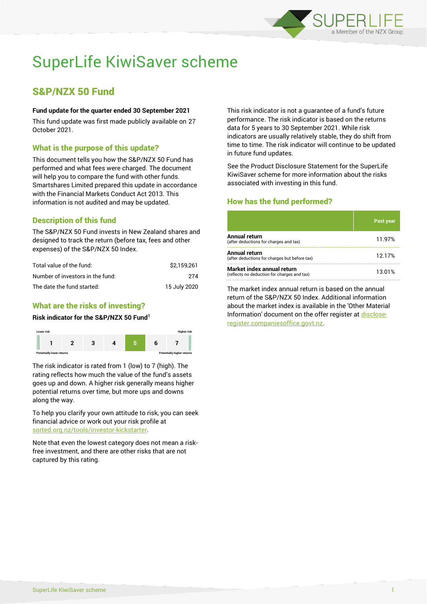

# SuperLife KiwiSaver scheme

# S&P/NZX 50 Fund

#### **Fund update for the quarter ended 30 September 2021**

This fund update was first made publicly available on 27 October 2021.

# What is the purpose of this update?

This document tells you how the S&P/NZX 50 Fund has performed and what fees were charged. The document will help you to compare the fund with other funds. Smartshares Limited prepared this update in accordance with the Financial Markets Conduct Act 2013. This information is not audited and may be updated.

# Description of this fund

The S&P/NZX 50 Fund invests in New Zealand shares and designed to track the return (before tax, fees and other expenses) of the S&P/NZX 50 Index.

| Total value of the fund:         | \$2.159.261  |
|----------------------------------|--------------|
| Number of investors in the fund: | 274          |
| The date the fund started:       | 15 July 2020 |

# What are the risks of investing?

#### **Risk indicator for the S&P/NZX 50 Fund<sup>1</sup>**



The risk indicator is rated from 1 (low) to 7 (high). The rating reflects how much the value of the fund's assets goes up and down. A higher risk generally means higher potential returns over time, but more ups and downs along the way.

To help you clarify your own attitude to risk, you can seek financial advice or work out your risk profile at [sorted.org.nz/tools/investor-kickstarter.](http://www.sorted.org.nz/tools/investor-kickstarter)

Note that even the lowest category does not mean a riskfree investment, and there are other risks that are not captured by this rating.

This risk indicator is not a guarantee of a fund's future performance. The risk indicator is based on the returns data for 5 years to 30 September 2021. While risk indicators are usually relatively stable, they do shift from time to time. The risk indicator will continue to be updated in future fund updates.

See the Product Disclosure Statement for the SuperLife KiwiSaver scheme for more information about the risks associated with investing in this fund.

# How has the fund performed?

|                                                                           | <b>Past year</b> |
|---------------------------------------------------------------------------|------------------|
| Annual return<br>(after deductions for charges and tax)                   | 11.97%           |
| Annual return<br>(after deductions for charges but before tax)            | 12.17%           |
| Market index annual return<br>(reflects no deduction for charges and tax) | 13.01%           |

The market index annual return is based on the annual return of the S&P/NZX 50 Index. Additional information about the market index is available in the 'Other Material Information' document on the offer register a[t disclose](http://www.disclose-register.companiesoffice.govt.nz/)[register.companiesoffice.govt.nz.](http://www.disclose-register.companiesoffice.govt.nz/)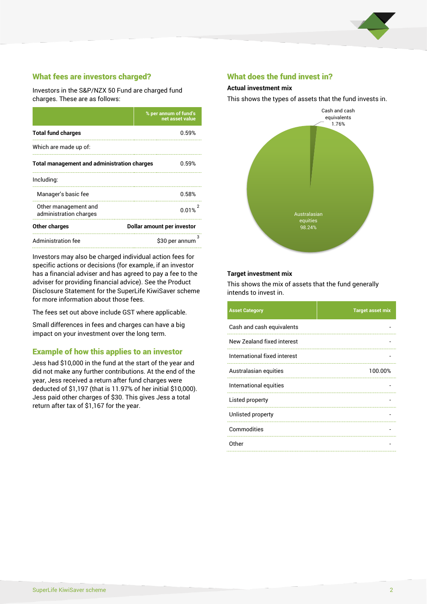

# What fees are investors charged?

Investors in the S&P/NZX 50 Fund are charged fund charges. These are as follows:

|                                                    | % per annum of fund's<br>net asset value |  |
|----------------------------------------------------|------------------------------------------|--|
| <b>Total fund charges</b>                          | 0.59%                                    |  |
| Which are made up of:                              |                                          |  |
| <b>Total management and administration charges</b> | 0.59%                                    |  |
| Including:                                         |                                          |  |
| Manager's basic fee                                | 0.58%                                    |  |
| Other management and<br>administration charges     | 0.01%                                    |  |
| Other charges                                      | Dollar amount per investor               |  |
| Administration fee                                 | з<br>\$30 per annum                      |  |

Investors may also be charged individual action fees for specific actions or decisions (for example, if an investor has a financial adviser and has agreed to pay a fee to the adviser for providing financial advice). See the Product Disclosure Statement for the SuperLife KiwiSaver scheme for more information about those fees.

The fees set out above include GST where applicable.

Small differences in fees and charges can have a big impact on your investment over the long term.

### Example of how this applies to an investor

Jess had \$10,000 in the fund at the start of the year and did not make any further contributions. At the end of the year, Jess received a return after fund charges were deducted of \$1,197 (that is 11.97% of her initial \$10,000). Jess paid other charges of \$30. This gives Jess a total return after tax of \$1,167 for the year.

#### What does the fund invest in?

#### **Actual investment mix**

This shows the types of assets that the fund invests in.



#### **Target investment mix**

This shows the mix of assets that the fund generally intends to invest in.

| <b>Asset Category</b>        | <b>Target asset mix</b> |
|------------------------------|-------------------------|
| Cash and cash equivalents    |                         |
| New Zealand fixed interest   |                         |
| International fixed interest |                         |
| Australasian equities        | 100.00%                 |
| International equities       |                         |
| Listed property              |                         |
| Unlisted property            |                         |
| Commodities                  |                         |
| Other                        |                         |